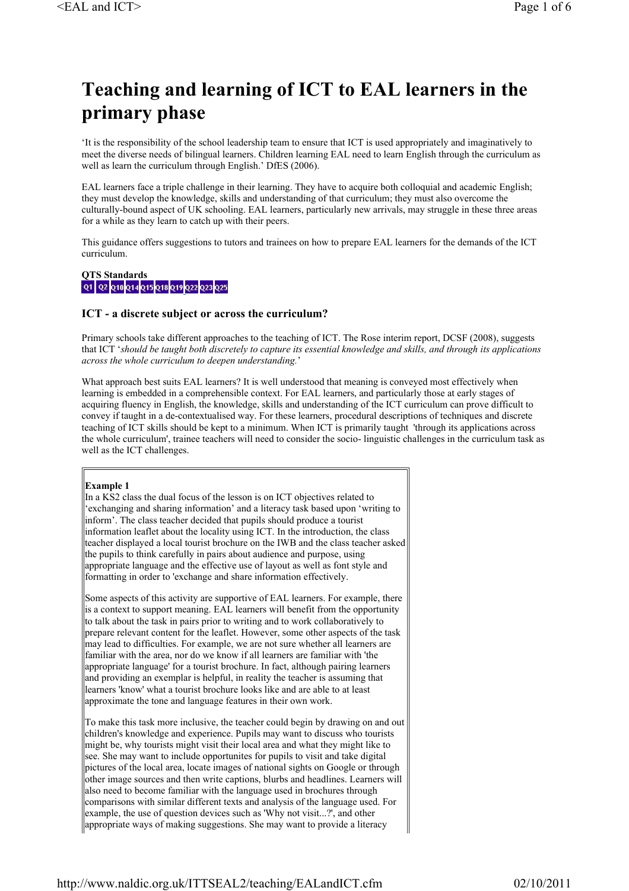# **Teaching and learning of ICT to EAL learners in the primary phase**

'It is the responsibility of the school leadership team to ensure that ICT is used appropriately and imaginatively to meet the diverse needs of bilingual learners. Children learning EAL need to learn English through the curriculum as well as learn the curriculum through English.' DfES (2006).

EAL learners face a triple challenge in their learning. They have to acquire both colloquial and academic English; they must develop the knowledge, skills and understanding of that curriculum; they must also overcome the culturally-bound aspect of UK schooling. EAL learners, particularly new arrivals, may struggle in these three areas for a while as they learn to catch up with their peers.

This guidance offers suggestions to tutors and trainees on how to prepare EAL learners for the demands of the ICT curriculum.

# **QTS Standards<br>| Q1 | Q2 | Q10 |Q14 |Q15 |Q18 |Q19 |Q22 |Q23 |Q25**

### **ICT - a discrete subject or across the curriculum?**

Primary schools take different approaches to the teaching of ICT. The Rose interim report, DCSF (2008), suggests that ICT '*should be taught both discretely to capture its essential knowledge and skills, and through its applications across the whole curriculum to deepen understanding.*'

What approach best suits EAL learners? It is well understood that meaning is conveyed most effectively when learning is embedded in a comprehensible context. For EAL learners, and particularly those at early stages of acquiring fluency in English, the knowledge, skills and understanding of the ICT curriculum can prove difficult to convey if taught in a de-contextualised way. For these learners, procedural descriptions of techniques and discrete teaching of ICT skills should be kept to a minimum. When ICT is primarily taught 'through its applications across the whole curriculum', trainee teachers will need to consider the socio- linguistic challenges in the curriculum task as well as the ICT challenges.

#### **Example 1**

In a KS2 class the dual focus of the lesson is on ICT objectives related to 'exchanging and sharing information' and a literacy task based upon 'writing to inform'. The class teacher decided that pupils should produce a tourist information leaflet about the locality using ICT. In the introduction, the class teacher displayed a local tourist brochure on the IWB and the class teacher asked the pupils to think carefully in pairs about audience and purpose, using appropriate language and the effective use of layout as well as font style and formatting in order to 'exchange and share information effectively.

Some aspects of this activity are supportive of EAL learners. For example, there is a context to support meaning. EAL learners will benefit from the opportunity to talk about the task in pairs prior to writing and to work collaboratively to prepare relevant content for the leaflet. However, some other aspects of the task may lead to difficulties. For example, we are not sure whether all learners are familiar with the area, nor do we know if all learners are familiar with 'the appropriate language' for a tourist brochure. In fact, although pairing learners and providing an exemplar is helpful, in reality the teacher is assuming that learners 'know' what a tourist brochure looks like and are able to at least approximate the tone and language features in their own work.

To make this task more inclusive, the teacher could begin by drawing on and out children's knowledge and experience. Pupils may want to discuss who tourists might be, why tourists might visit their local area and what they might like to see. She may want to include opportunites for pupils to visit and take digital pictures of the local area, locate images of national sights on Google or through other image sources and then write captions, blurbs and headlines. Learners will also need to become familiar with the language used in brochures through comparisons with similar different texts and analysis of the language used. For example, the use of question devices such as 'Why not visit...?', and other appropriate ways of making suggestions. She may want to provide a literacy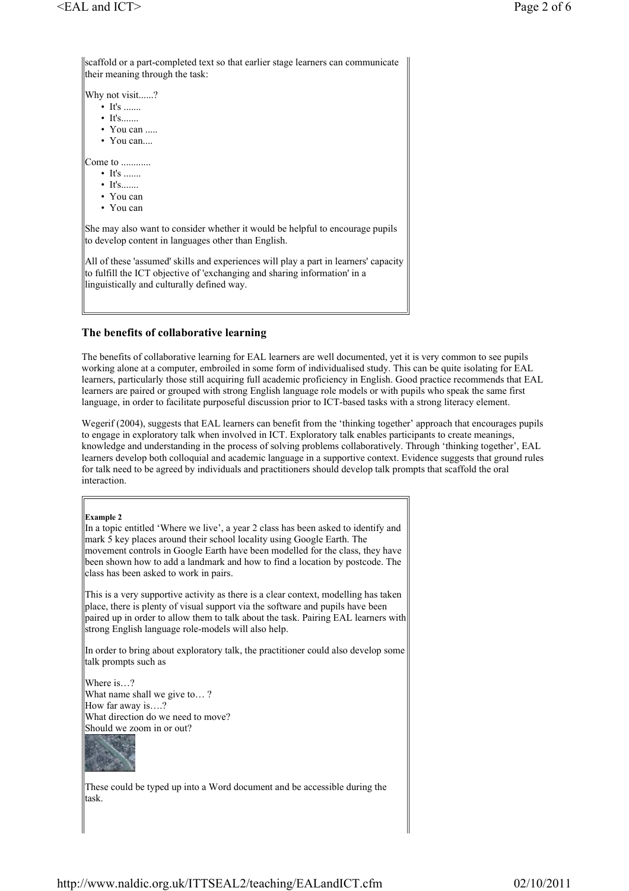scaffold or a part-completed text so that earlier stage learners can communicate their meaning through the task: Why not visit......?  $\bullet$  It's .......  $\bullet$  It's....... • You can ..... • You can.... Come to ............  $\bullet$  It's ....... • It's....... • You can • You can She may also want to consider whether it would be helpful to encourage pupils to develop content in languages other than English. All of these 'assumed' skills and experiences will play a part in learners' capacity to fulfill the ICT objective of 'exchanging and sharing information' in a linguistically and culturally defined way.

## **The benefits of collaborative learning**

The benefits of collaborative learning for EAL learners are well documented, yet it is very common to see pupils working alone at a computer, embroiled in some form of individualised study. This can be quite isolating for EAL learners, particularly those still acquiring full academic proficiency in English. Good practice recommends that EAL learners are paired or grouped with strong English language role models or with pupils who speak the same first language, in order to facilitate purposeful discussion prior to ICT-based tasks with a strong literacy element.

Wegerif (2004), suggests that EAL learners can benefit from the 'thinking together' approach that encourages pupils to engage in exploratory talk when involved in ICT. Exploratory talk enables participants to create meanings, knowledge and understanding in the process of solving problems collaboratively. Through 'thinking together', EAL learners develop both colloquial and academic language in a supportive context. Evidence suggests that ground rules for talk need to be agreed by individuals and practitioners should develop talk prompts that scaffold the oral interaction.

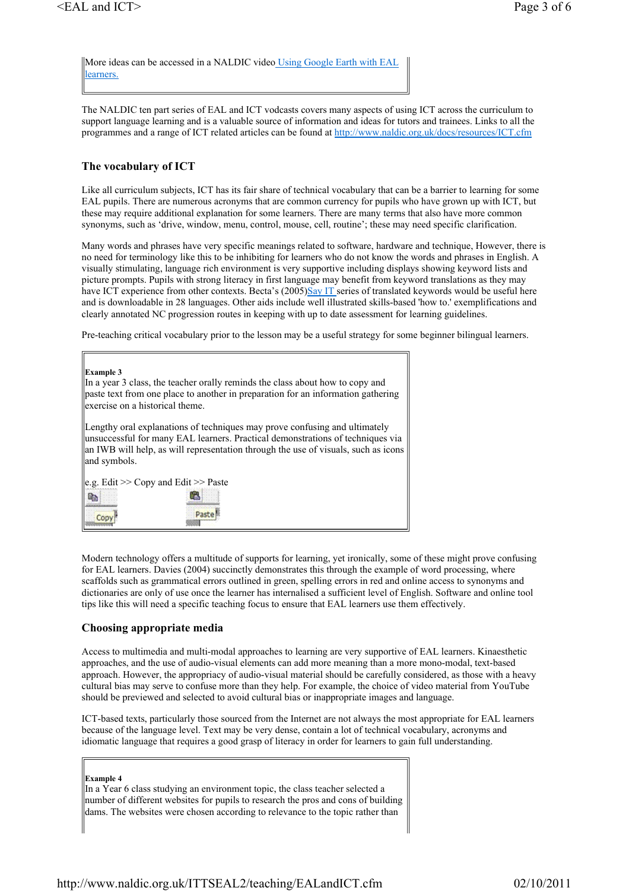More ideas can be accessed in a NALDIC video Using Google Earth with EAL learners.

The NALDIC ten part series of EAL and ICT vodcasts covers many aspects of using ICT across the curriculum to support language learning and is a valuable source of information and ideas for tutors and trainees. Links to all the programmes and a range of ICT related articles can be found at http://www.naldic.org.uk/docs/resources/ICT.cfm

### **The vocabulary of ICT**

Like all curriculum subjects, ICT has its fair share of technical vocabulary that can be a barrier to learning for some EAL pupils. There are numerous acronyms that are common currency for pupils who have grown up with ICT, but these may require additional explanation for some learners. There are many terms that also have more common synonyms, such as 'drive, window, menu, control, mouse, cell, routine'; these may need specific clarification.

Many words and phrases have very specific meanings related to software, hardware and technique, However, there is no need for terminology like this to be inhibiting for learners who do not know the words and phrases in English. A visually stimulating, language rich environment is very supportive including displays showing keyword lists and picture prompts. Pupils with strong literacy in first language may benefit from keyword translations as they may have ICT experience from other contexts. Becta's (2005)Say IT series of translated keywords would be useful here and is downloadable in 28 languages. Other aids include well illustrated skills-based 'how to.' exemplifications and clearly annotated NC progression routes in keeping with up to date assessment for learning guidelines.

Pre-teaching critical vocabulary prior to the lesson may be a useful strategy for some beginner bilingual learners.

| <b>Example 3</b><br>In a year 3 class, the teacher orally reminds the class about how to copy and                                                                                                                                                                  |
|--------------------------------------------------------------------------------------------------------------------------------------------------------------------------------------------------------------------------------------------------------------------|
| paste text from one place to another in preparation for an information gathering<br>llexercise on a historical theme.                                                                                                                                              |
| Lengthy oral explanations of techniques may prove confusing and ultimately<br>unsuccessful for many EAL learners. Practical demonstrations of techniques via<br>an IWB will help, as will representation through the use of visuals, such as icons<br>and symbols. |
| $ e.g.$ Edit $\gg$ Copy and Edit $\gg$ Paste                                                                                                                                                                                                                       |
| œ<br>ua.<br>Paste                                                                                                                                                                                                                                                  |
|                                                                                                                                                                                                                                                                    |

Modern technology offers a multitude of supports for learning, yet ironically, some of these might prove confusing for EAL learners. Davies (2004) succinctly demonstrates this through the example of word processing, where scaffolds such as grammatical errors outlined in green, spelling errors in red and online access to synonyms and dictionaries are only of use once the learner has internalised a sufficient level of English. Software and online tool tips like this will need a specific teaching focus to ensure that EAL learners use them effectively.

#### **Choosing appropriate media**

Access to multimedia and multi-modal approaches to learning are very supportive of EAL learners. Kinaesthetic approaches, and the use of audio-visual elements can add more meaning than a more mono-modal, text-based approach. However, the appropriacy of audio-visual material should be carefully considered, as those with a heavy cultural bias may serve to confuse more than they help. For example, the choice of video material from YouTube should be previewed and selected to avoid cultural bias or inappropriate images and language.

ICT-based texts, particularly those sourced from the Internet are not always the most appropriate for EAL learners because of the language level. Text may be very dense, contain a lot of technical vocabulary, acronyms and idiomatic language that requires a good grasp of literacy in order for learners to gain full understanding.

#### **Example 4**

In a Year 6 class studying an environment topic, the class teacher selected a number of different websites for pupils to research the pros and cons of building dams. The websites were chosen according to relevance to the topic rather than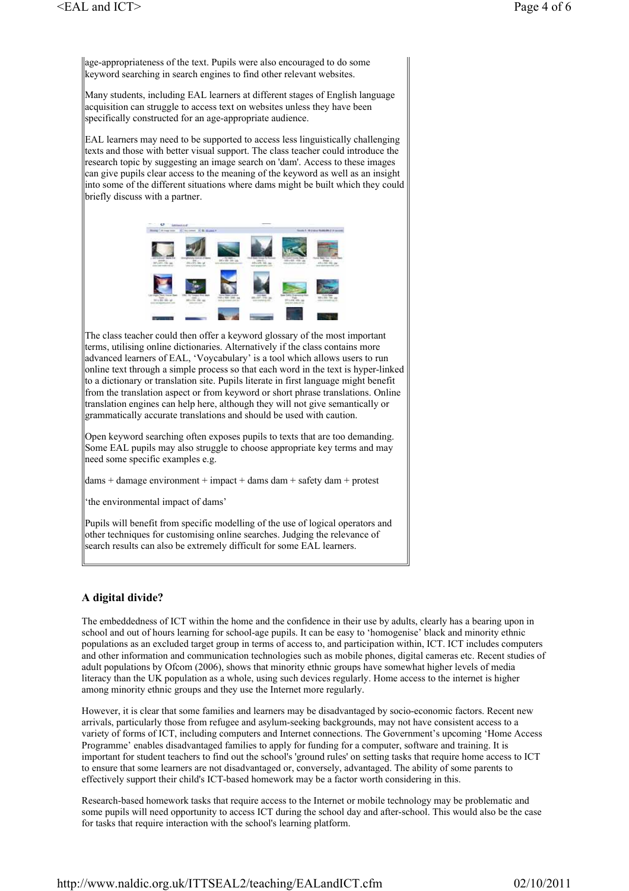age-appropriateness of the text. Pupils were also encouraged to do some keyword searching in search engines to find other relevant websites.

Many students, including EAL learners at different stages of English language acquisition can struggle to access text on websites unless they have been specifically constructed for an age-appropriate audience.

EAL learners may need to be supported to access less linguistically challenging texts and those with better visual support. The class teacher could introduce the research topic by suggesting an image search on 'dam'. Access to these images can give pupils clear access to the meaning of the keyword as well as an insight into some of the different situations where dams might be built which they could briefly discuss with a partner.



The class teacher could then offer a keyword glossary of the most important terms, utilising online dictionaries. Alternatively if the class contains more advanced learners of EAL, 'Voycabulary' is a tool which allows users to run online text through a simple process so that each word in the text is hyper-linked to a dictionary or translation site. Pupils literate in first language might benefit from the translation aspect or from keyword or short phrase translations. Online translation engines can help here, although they will not give semantically or grammatically accurate translations and should be used with caution.

Open keyword searching often exposes pupils to texts that are too demanding. Some EAL pupils may also struggle to choose appropriate key terms and may need some specific examples e.g.

 $dams + damage environment + impact + dams dam + safety dam + protest$ 

'the environmental impact of dams'

Pupils will benefit from specific modelling of the use of logical operators and other techniques for customising online searches. Judging the relevance of search results can also be extremely difficult for some EAL learners.

# **A digital divide?**

The embeddedness of ICT within the home and the confidence in their use by adults, clearly has a bearing upon in school and out of hours learning for school-age pupils. It can be easy to 'homogenise' black and minority ethnic populations as an excluded target group in terms of access to, and participation within, ICT. ICT includes computers and other information and communication technologies such as mobile phones, digital cameras etc. Recent studies of adult populations by Ofcom (2006), shows that minority ethnic groups have somewhat higher levels of media literacy than the UK population as a whole, using such devices regularly. Home access to the internet is higher among minority ethnic groups and they use the Internet more regularly.

However, it is clear that some families and learners may be disadvantaged by socio-economic factors. Recent new arrivals, particularly those from refugee and asylum-seeking backgrounds, may not have consistent access to a variety of forms of ICT, including computers and Internet connections. The Government's upcoming 'Home Access Programme' enables disadvantaged families to apply for funding for a computer, software and training. It is important for student teachers to find out the school's 'ground rules' on setting tasks that require home access to ICT to ensure that some learners are not disadvantaged or, conversely, advantaged. The ability of some parents to effectively support their child's ICT-based homework may be a factor worth considering in this.

Research-based homework tasks that require access to the Internet or mobile technology may be problematic and some pupils will need opportunity to access ICT during the school day and after-school. This would also be the case for tasks that require interaction with the school's learning platform.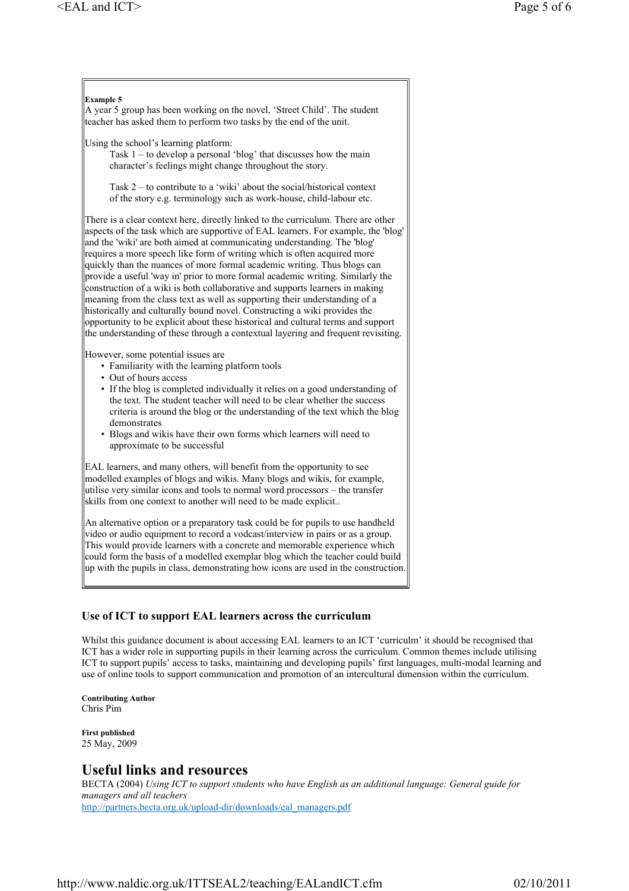#### **Example 5**

A year 5 group has been working on the novel, 'Street Child'. The student teacher has asked them to perform two tasks by the end of the unit.

Using the school's learning platform:

Task 1 – to develop a personal 'blog' that discusses how the main character's feelings might change throughout the story.

Task 2 – to contribute to a 'wiki' about the social/historical context of the story e.g. terminology such as work-house, child-labour etc.

There is a clear context here, directly linked to the curriculum. There are other aspects of the task which are supportive of EAL learners. For example, the 'blog' and the 'wiki' are both aimed at communicating understanding. The 'blog' requires a more speech like form of writing which is often acquired more quickly than the nuances of more formal academic writing. Thus blogs can provide a useful 'way in' prior to more formal academic writing. Similarly the construction of a wiki is both collaborative and supports learners in making meaning from the class text as well as supporting their understanding of a historically and culturally bound novel. Constructing a wiki provides the opportunity to be explicit about these historical and cultural terms and support the understanding of these through a contextual layering and frequent revisiting.

However, some potential issues are

- Familiarity with the learning platform tools
- Out of hours access
- If the blog is completed individually it relies on a good understanding of the text. The student teacher will need to be clear whether the success criteria is around the blog or the understanding of the text which the blog demonstrates
- Blogs and wikis have their own forms which learners will need to approximate to be successful

EAL learners, and many others, will benefit from the opportunity to see modelled examples of blogs and wikis. Many blogs and wikis, for example, utilise very similar icons and tools to normal word processors – the transfer skills from one context to another will need to be made explicit..

An alternative option or a preparatory task could be for pupils to use handheld video or audio equipment to record a vodcast/interview in pairs or as a group. This would provide learners with a concrete and memorable experience which could form the basis of a modelled exemplar blog which the teacher could build up with the pupils in class, demonstrating how icons are used in the construction.

# **Use of ICT to support EAL learners across the curriculum**

Whilst this guidance document is about accessing EAL learners to an ICT 'curriculm' it should be recognised that ICT has a wider role in supporting pupils in their learning across the curriculum. Common themes include utilising ICT to support pupils' access to tasks, maintaining and developing pupils' first languages, multi-modal learning and use of online tools to support communication and promotion of an intercultural dimension within the curriculum.

**Contributing Author** Chris Pim

**First published** 25 May, 2009

# **Useful links and resources**

BECTA (2004) *Using ICT to support students who have English as an additional language: General guide for managers and all teachers* http://partners.becta.org.uk/upload-dir/downloads/eal\_managers.pdf